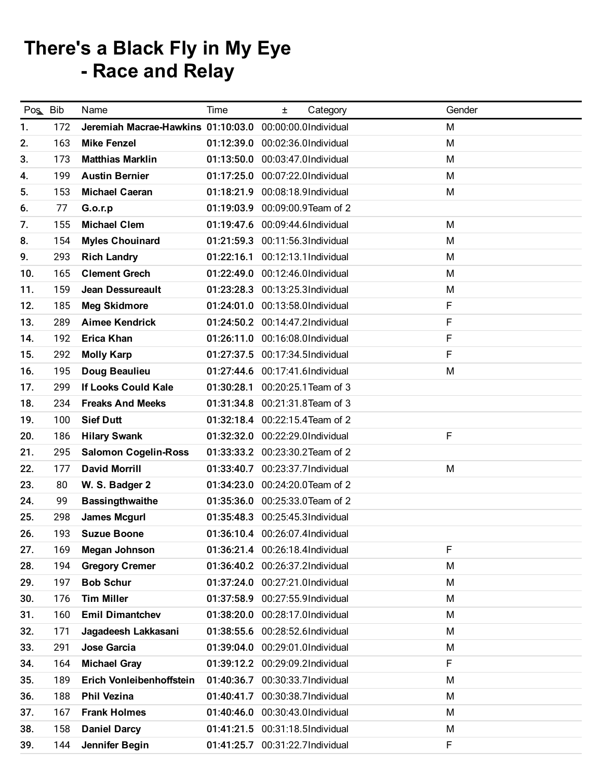## There's a Black Fly in My Eye - Race and Relay

| Pos Bib |     | Name                               | Time       | Category<br>Ŧ.                  | Gender |
|---------|-----|------------------------------------|------------|---------------------------------|--------|
| 1.      | 172 | Jeremiah Macrae-Hawkins 01:10:03.0 |            | 00:00:00.0Individual            | M      |
| 2.      | 163 | <b>Mike Fenzel</b>                 |            | 01:12:39.0 00:02:36.0Individual | M      |
| 3.      | 173 | <b>Matthias Marklin</b>            | 01:13:50.0 | 00:03:47.0Individual            | M      |
| 4.      | 199 | <b>Austin Bernier</b>              | 01:17:25.0 | 00:07:22.0Individual            | M      |
| 5.      | 153 | <b>Michael Caeran</b>              | 01:18:21.9 | 00:08:18.9Individual            | M      |
| 6.      | 77  | <b>G.o.r.p</b>                     | 01:19:03.9 | 00:09:00.9Team of 2             |        |
| 7.      | 155 | <b>Michael Clem</b>                |            | 01:19:47.6 00:09:44.6Individual | M      |
| 8.      | 154 | <b>Myles Chouinard</b>             | 01:21:59.3 | 00:11:56.3Individual            | M      |
| 9.      | 293 | <b>Rich Landry</b>                 | 01:22:16.1 | 00:12:13.1Individual            | M      |
| 10.     | 165 | <b>Clement Grech</b>               |            | 01:22:49.0 00:12:46.0Individual | M      |
| 11.     | 159 | Jean Dessureault                   | 01:23:28.3 | 00:13:25.3Individual            | M      |
| 12.     | 185 | <b>Meg Skidmore</b>                |            | 01:24:01.0 00:13:58.0Individual | F      |
| 13.     | 289 | <b>Aimee Kendrick</b>              |            | 01:24:50.2 00:14:47.2Individual | F      |
| 14.     | 192 | <b>Erica Khan</b>                  | 01:26:11.0 | 00:16:08.0Individual            | F      |
| 15.     | 292 | <b>Molly Karp</b>                  |            | 01:27:37.5 00:17:34.5Individual | F      |
| 16.     | 195 | Doug Beaulieu                      |            | 01:27:44.6 00:17:41.6Individual | M      |
| 17.     | 299 | <b>If Looks Could Kale</b>         | 01:30:28.1 | 00:20:25.1 Team of 3            |        |
| 18.     | 234 | <b>Freaks And Meeks</b>            |            | 01:31:34.8 00:21:31.8 Team of 3 |        |
| 19.     | 100 | <b>Sief Dutt</b>                   |            | 01:32:18.4 00:22:15.4 Team of 2 |        |
| 20.     | 186 | <b>Hilary Swank</b>                |            | 01:32:32.0 00:22:29.0Individual | F      |
| 21.     | 295 | <b>Salomon Cogelin-Ross</b>        | 01:33:33.2 | 00:23:30.2Team of 2             |        |
| 22.     | 177 | <b>David Morrill</b>               | 01:33:40.7 | 00:23:37.7Individual            | M      |
| 23.     | 80  | W. S. Badger 2                     |            | 01:34:23.0 00:24:20.0Team of 2  |        |
| 24.     | 99  | <b>Bassingthwaithe</b>             | 01:35:36.0 | 00:25:33.0Team of 2             |        |
| 25.     | 298 | <b>James Mcgurl</b>                | 01:35:48.3 | 00:25:45.3Individual            |        |
| 26.     | 193 | <b>Suzue Boone</b>                 |            | 01:36:10.4 00:26:07.4Individual |        |
| 27.     | 169 | <b>Megan Johnson</b>               |            | 01:36:21.4 00:26:18.4Individual | F      |
| 28.     | 194 | <b>Gregory Cremer</b>              |            | 01:36:40.2 00:26:37.2Individual | M      |
| 29.     | 197 | <b>Bob Schur</b>                   | 01:37:24.0 | 00:27:21.0Individual            | M      |
| 30.     | 176 | <b>Tim Miller</b>                  |            | 01:37:58.9 00:27:55.9Individual | M      |
| 31.     | 160 | <b>Emil Dimantchev</b>             | 01:38:20.0 | 00:28:17.0Individual            | M      |
| 32.     | 171 | Jagadeesh Lakkasani                |            | 01:38:55.6 00:28:52.6Individual | M      |
| 33.     | 291 | <b>Jose Garcia</b>                 | 01:39:04.0 | 00:29:01.0Individual            | M      |
| 34.     | 164 | <b>Michael Gray</b>                |            | 01:39:12.2 00:29:09.2Individual | F      |
| 35.     | 189 | Erich Vonleibenhoffstein           | 01:40:36.7 | 00:30:33.7Individual            | M      |
| 36.     | 188 | <b>Phil Vezina</b>                 | 01:40:41.7 | 00:30:38.7Individual            | M      |
| 37.     | 167 | <b>Frank Holmes</b>                | 01:40:46.0 | 00:30:43.0Individual            | M      |
| 38.     | 158 | <b>Daniel Darcy</b>                |            | 01:41:21.5 00:31:18.5Individual | M      |
| 39.     | 144 | Jennifer Begin                     | 01:41:25.7 | 00:31:22.7Individual            | F      |